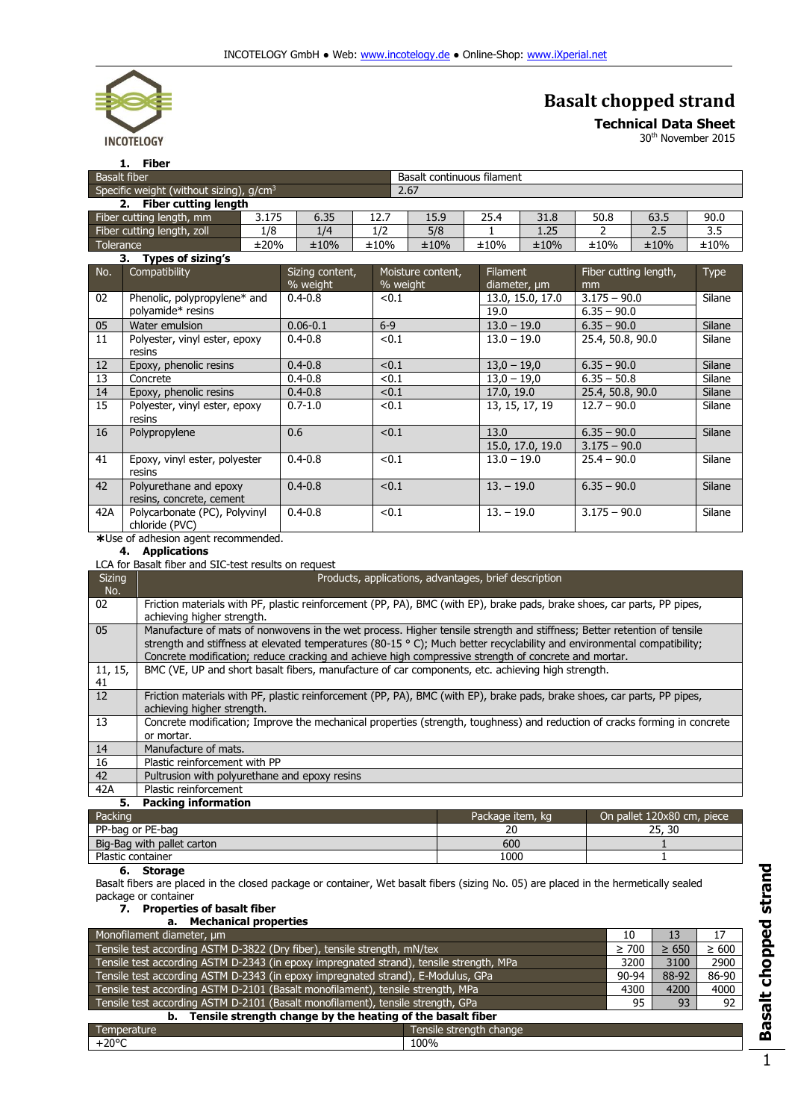

## **Basalt chopped strand**

**Technical Data Sheet**

30th November 2015

| Fiber                       |                                                   |      |      |                            |      |      |      |      |      |
|-----------------------------|---------------------------------------------------|------|------|----------------------------|------|------|------|------|------|
| <b>Basalt fiber</b>         |                                                   |      |      | Basalt continuous filament |      |      |      |      |      |
|                             | Specific weight (without sizing), $q/cm3$<br>2.67 |      |      |                            |      |      |      |      |      |
| <b>Fiber cutting length</b> |                                                   |      |      |                            |      |      |      |      |      |
| Fiber cutting length, mm    | 3.175                                             | 6.35 | 12.7 | 15.9                       | 25.4 | 31.8 | 50.8 | 63.5 | 90.0 |
| Fiber cutting length, zoll  | 1/8                                               | 1/4  |      | 5/8                        |      | 1.25 |      | 2.5  | 3.5  |
| Tolerance                   | ±20%                                              | ±10% | ±10% | ±10%                       | ±10% | ±10% | ±10% | ±10% | ±10% |

|     | Types of sizing's<br>З.                            |                             |                               |                                 |                                 |             |
|-----|----------------------------------------------------|-----------------------------|-------------------------------|---------------------------------|---------------------------------|-------------|
| No. | Compatibility                                      | Sizing content,<br>% weight | Moisture content,<br>% weight | <b>Filament</b><br>diameter, um | Fiber cutting length,<br>mm     | <b>Type</b> |
| 02  | Phenolic, polypropylene* and<br>polyamide* resins  | $0.4 - 0.8$                 | < 0.1                         | 13.0, 15.0, 17.0<br>19.0        | $3.175 - 90.0$<br>$6.35 - 90.0$ | Silane      |
| 05  | Water emulsion                                     | $0.06 - 0.1$                | $6-9$                         | $13.0 - 19.0$                   | $6.35 - 90.0$                   | Silane      |
| 11  | Polyester, vinyl ester, epoxy<br>resins            | $0.4 - 0.8$                 | < 0.1                         | $13.0 - 19.0$                   | 25.4, 50.8, 90.0                | Silane      |
| 12  | Epoxy, phenolic resins                             | $0.4 - 0.8$                 | < 0.1                         | $13,0 - 19,0$                   | $6.35 - 90.0$                   | Silane      |
| 13  | Concrete                                           | $0.4 - 0.8$                 | ${<}0.1$                      | $13,0 - 19,0$                   | $6.35 - 50.8$                   | Silane      |
| 14  | Epoxy, phenolic resins                             | $0.4 - 0.8$                 | < 0.1                         | 17.0, 19.0                      | 25.4, 50.8, 90.0                | Silane      |
| 15  | Polyester, vinyl ester, epoxy<br>resins            | $0.7 - 1.0$                 | < 0.1                         | 13, 15, 17, 19                  | $12.7 - 90.0$                   | Silane      |
| 16  | Polypropylene                                      | 0.6                         | < 0.1                         | 13.0                            | $6.35 - 90.0$                   | Silane      |
|     |                                                    |                             |                               | 15.0, 17.0, 19.0                | $3.175 - 90.0$                  |             |
| 41  | Epoxy, vinyl ester, polyester<br>resins            | $0.4 - 0.8$                 | < 0.1                         | $13.0 - 19.0$                   | $25.4 - 90.0$                   | Silane      |
| 42  | Polyurethane and epoxy<br>resins, concrete, cement | $0.4 - 0.8$                 | < 0.1                         | $13. - 19.0$                    | $6.35 - 90.0$                   | Silane      |
| 42A | Polycarbonate (PC), Polyvinyl<br>chloride (PVC)    | $0.4 - 0.8$                 | < 0.1                         | $13. - 19.0$                    | $3.175 - 90.0$                  | Silane      |
| .   | $\sim$                                             |                             |                               |                                 |                                 |             |

Use of adhesion agent recommended.

**4. Applications** LCA for Basalt fiber and SIC-test results on request

| <b>Sizing</b><br>No. | Products, applications, advantages, brief description                                                                                                                                                                                                                                                                                                              |                  |                            |  |  |  |
|----------------------|--------------------------------------------------------------------------------------------------------------------------------------------------------------------------------------------------------------------------------------------------------------------------------------------------------------------------------------------------------------------|------------------|----------------------------|--|--|--|
| 02                   | Friction materials with PF, plastic reinforcement (PP, PA), BMC (with EP), brake pads, brake shoes, car parts, PP pipes,<br>achieving higher strength.                                                                                                                                                                                                             |                  |                            |  |  |  |
| 05                   | Manufacture of mats of nonwovens in the wet process. Higher tensile strength and stiffness; Better retention of tensile<br>strength and stiffness at elevated temperatures (80-15 $\degree$ C); Much better recyclability and environmental compatibility;<br>Concrete modification; reduce cracking and achieve high compressive strength of concrete and mortar. |                  |                            |  |  |  |
| 11, 15,<br>41        | BMC (VE, UP and short basalt fibers, manufacture of car components, etc. achieving high strength.                                                                                                                                                                                                                                                                  |                  |                            |  |  |  |
| 12                   | Friction materials with PF, plastic reinforcement (PP, PA), BMC (with EP), brake pads, brake shoes, car parts, PP pipes,<br>achieving higher strength.                                                                                                                                                                                                             |                  |                            |  |  |  |
| 13                   | Concrete modification; Improve the mechanical properties (strength, toughness) and reduction of cracks forming in concrete<br>or mortar.                                                                                                                                                                                                                           |                  |                            |  |  |  |
| 14                   | Manufacture of mats.                                                                                                                                                                                                                                                                                                                                               |                  |                            |  |  |  |
| 16                   | Plastic reinforcement with PP                                                                                                                                                                                                                                                                                                                                      |                  |                            |  |  |  |
| 42                   | Pultrusion with polyurethane and epoxy resins                                                                                                                                                                                                                                                                                                                      |                  |                            |  |  |  |
| 42A                  | Plastic reinforcement                                                                                                                                                                                                                                                                                                                                              |                  |                            |  |  |  |
| 5.                   | <b>Packing information</b>                                                                                                                                                                                                                                                                                                                                         |                  |                            |  |  |  |
| Packing              |                                                                                                                                                                                                                                                                                                                                                                    | Package item, kg | On pallet 120x80 cm, piece |  |  |  |
|                      | PP-bag or PE-bag<br>20<br>25, 30                                                                                                                                                                                                                                                                                                                                   |                  |                            |  |  |  |

| PP-bag or PE-bag                   | ້    | -- |
|------------------------------------|------|----|
| Big-Bag with<br>pallet<br>: carton | 600  |    |
| Plastic<br>container               | 1000 |    |

**6. Storage**

Basalt fibers are placed in the closed package or container, Wet basalt fibers (sizing No. 05) are placed in the hermetically sealed package or container

## **7. Properties of basalt fiber a. Mechanical properties**

| a. rictiiallitai bibbelties                                                             |                         |            |            |            |  |
|-----------------------------------------------------------------------------------------|-------------------------|------------|------------|------------|--|
| Monofilament diameter, um                                                               |                         | 10         | 13         | 17         |  |
| Tensile test according ASTM D-3822 (Dry fiber), tensile strength, mN/tex                |                         | $\geq 700$ | $\geq 650$ | $\geq 600$ |  |
| Tensile test according ASTM D-2343 (in epoxy impregnated strand), tensile strength, MPa |                         | 3200       | 3100       | 2900       |  |
| Tensile test according ASTM D-2343 (in epoxy impregnated strand), E-Modulus, GPa        |                         | $90 - 94$  | 88-92      | 86-90      |  |
| Tensile test according ASTM D-2101 (Basalt monofilament), tensile strength, MPa         |                         | 4300       | 4200       | 4000       |  |
| Tensile test according ASTM D-2101 (Basalt monofilament), tensile strength, GPa         |                         | 95         | 93         | 92         |  |
| b. Tensile strength change by the heating of the basalt fiber                           |                         |            |            |            |  |
| Temperature                                                                             | Tensile strength change |            |            |            |  |
| $+20^{\circ}$ C                                                                         | 100%                    |            |            |            |  |